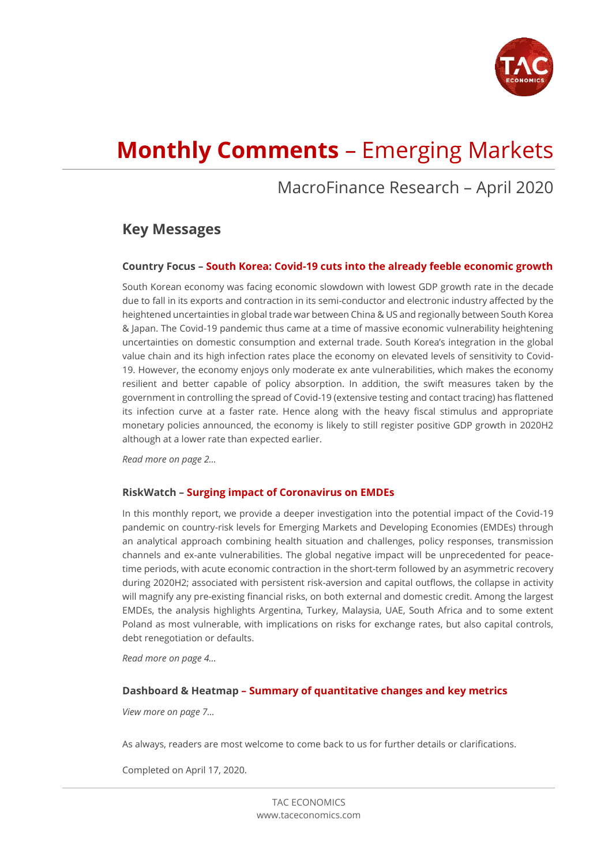

# **Monthly Comments** – Emerging Markets

## MacroFinance Research – April 2020

## **Key Messages**

## **Country Focus – South Korea: Covid-19 cuts into the already feeble economic growth**

South Korean economy was facing economic slowdown with lowest GDP growth rate in the decade due to fall in its exports and contraction in its semi-conductor and electronic industry affected by the heightened uncertainties in global trade war between China & US and regionally between South Korea & Japan. The Covid-19 pandemic thus came at a time of massive economic vulnerability heightening uncertainties on domestic consumption and external trade. South Korea's integration in the global value chain and its high infection rates place the economy on elevated levels of sensitivity to Covid-19. However, the economy enjoys only moderate ex ante vulnerabilities, which makes the economy resilient and better capable of policy absorption. In addition, the swift measures taken by the government in controlling the spread of Covid-19 (extensive testing and contact tracing) has flattened its infection curve at a faster rate. Hence along with the heavy fiscal stimulus and appropriate monetary policies announced, the economy is likely to still register positive GDP growth in 2020H2 although at a lower rate than expected earlier.

*Read more on page 2…*

#### **RiskWatch – Surging impact of Coronavirus on EMDEs**

In this monthly report, we provide a deeper investigation into the potential impact of the Covid-19 pandemic on country-risk levels for Emerging Markets and Developing Economies (EMDEs) through an analytical approach combining health situation and challenges, policy responses, transmission channels and ex-ante vulnerabilities. The global negative impact will be unprecedented for peacetime periods, with acute economic contraction in the short-term followed by an asymmetric recovery during 2020H2; associated with persistent risk-aversion and capital outflows, the collapse in activity will magnify any pre-existing financial risks, on both external and domestic credit. Among the largest EMDEs, the analysis highlights Argentina, Turkey, Malaysia, UAE, South Africa and to some extent Poland as most vulnerable, with implications on risks for exchange rates, but also capital controls, debt renegotiation or defaults.

*Read more on page 4…*

#### **Dashboard & Heatmap – Summary of quantitative changes and key metrics**

*View more on page 7…*

As always, readers are most welcome to come back to us for further details or clarifications.

Completed on April 17, 2020.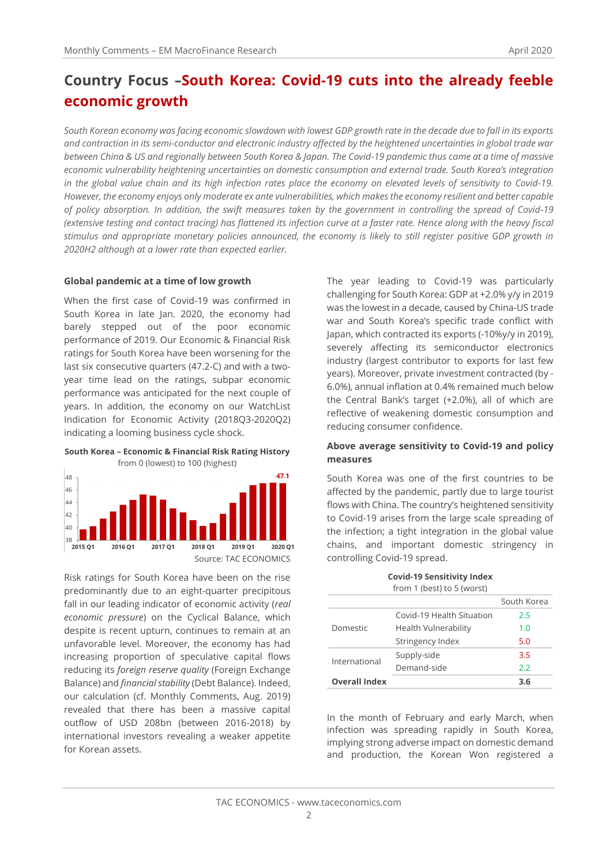## **Country Focus –South Korea: Covid-19 cuts into the already feeble economic growth**

*South Korean economy was facing economic slowdown with lowest GDP growth rate in the decade due to fall in its exports and contraction in its semi-conductor and electronic industry affected by the heightened uncertainties in global trade war between China & US and regionally between South Korea & Japan. The Covid-19 pandemic thus came at a time of massive economic vulnerability heightening uncertainties on domestic consumption and external trade. South Korea's integration in the global value chain and its high infection rates place the economy on elevated levels of sensitivity to Covid-19. However, the economy enjoys only moderate ex ante vulnerabilities, which makes the economy resilient and better capable of policy absorption. In addition, the swift measures taken by the government in controlling the spread of Covid-19 (extensive testing and contact tracing) has flattened its infection curve at a faster rate. Hence along with the heavy fiscal stimulus and appropriate monetary policies announced, the economy is likely to still register positive GDP growth in 2020H2 although at a lower rate than expected earlier.*

#### **Global pandemic at a time of low growth**

When the first case of Covid-19 was confirmed in South Korea in late Jan. 2020, the economy had barely stepped out of the poor economic performance of 2019. Our Economic & Financial Risk ratings for South Korea have been worsening for the last six consecutive quarters (47.2-C) and with a twoyear time lead on the ratings, subpar economic performance was anticipated for the next couple of years. In addition, the economy on our WatchList Indication for Economic Activity (2018Q3-2020Q2) indicating a looming business cycle shock.

**South Korea – Economic & Financial Risk Rating History** from 0 (lowest) to 100 (highest)



Risk ratings for South Korea have been on the rise predominantly due to an eight-quarter precipitous fall in our leading indicator of economic activity (*real economic pressure*) on the Cyclical Balance, which despite is recent upturn, continues to remain at an unfavorable level. Moreover, the economy has had increasing proportion of speculative capital flows reducing its *foreign reserve quality* (Foreign Exchange Balance) and *financial stability* (Debt Balance). Indeed, our calculation (cf. Monthly Comments, Aug. 2019) revealed that there has been a massive capital outflow of USD 208bn (between 2016-2018) by international investors revealing a weaker appetite for Korean assets.

The year leading to Covid-19 was particularly challenging for South Korea: GDP at +2.0% y/y in 2019 was the lowest in a decade, caused by China-US trade war and South Korea's specific trade conflict with Japan, which contracted its exports (-10%y/y in 2019), severely affecting its semiconductor electronics industry (largest contributor to exports for last few years). Moreover, private investment contracted (by - 6.0%), annual inflation at 0.4% remained much below the Central Bank's target (+2.0%), all of which are reflective of weakening domestic consumption and reducing consumer confidence.

#### **Above average sensitivity to Covid-19 and policy measures**

South Korea was one of the first countries to be affected by the pandemic, partly due to large tourist flows with China. The country's heightened sensitivity to Covid-19 arises from the large scale spreading of the infection; a tight integration in the global value chains, and important domestic stringency in controlling Covid-19 spread.

> **Covid-19 Sensitivity Index**   $from 1 (host) to 5 (worct)$

| ITUITET (DESLITU J (WUISLI |                             |             |  |  |
|----------------------------|-----------------------------|-------------|--|--|
|                            |                             | South Korea |  |  |
|                            | Covid-19 Health Situation   | 2.5         |  |  |
| Domestic                   | <b>Health Vulnerability</b> | 1.0         |  |  |
|                            | Stringency Index            | 5.0         |  |  |
| International              | Supply-side                 | 3.5         |  |  |
|                            | Demand-side                 | 2.2         |  |  |
| <b>Overall Index</b>       |                             | 3.6         |  |  |

In the month of February and early March, when infection was spreading rapidly in South Korea, implying strong adverse impact on domestic demand and production, the Korean Won registered a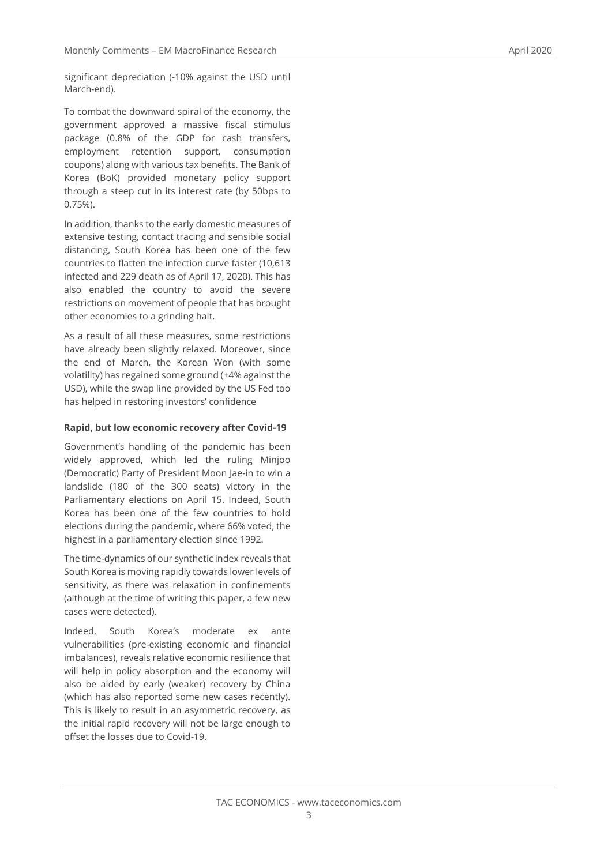significant depreciation (-10% against the USD until March-end).

To combat the downward spiral of the economy, the government approved a massive fiscal stimulus package (0.8% of the GDP for cash transfers, employment retention support, consumption coupons) along with various tax benefits. The Bank of Korea (BoK) provided monetary policy support through a steep cut in its interest rate (by 50bps to 0.75%).

In addition, thanks to the early domestic measures of extensive testing, contact tracing and sensible social distancing, South Korea has been one of the few countries to flatten the infection curve faster (10,613 infected and 229 death as of April 17, 2020). This has also enabled the country to avoid the severe restrictions on movement of people that has brought other economies to a grinding halt.

As a result of all these measures, some restrictions have already been slightly relaxed. Moreover, since the end of March, the Korean Won (with some volatility) has regained some ground (+4% against the USD), while the swap line provided by the US Fed too has helped in restoring investors' confidence

#### **Rapid, but low economic recovery after Covid-19**

Government's handling of the pandemic has been widely approved, which led the ruling Minjoo (Democratic) Party of President Moon Jae-in to win a landslide (180 of the 300 seats) victory in the Parliamentary elections on April 15. Indeed, South Korea has been one of the few countries to hold elections during the pandemic, where 66% voted, the highest in a parliamentary election since 1992.

The time-dynamics of our synthetic index reveals that South Korea is moving rapidly towards lower levels of sensitivity, as there was relaxation in confinements (although at the time of writing this paper, a few new cases were detected).

Indeed, South Korea's moderate ex ante vulnerabilities (pre-existing economic and financial imbalances), reveals relative economic resilience that will help in policy absorption and the economy will also be aided by early (weaker) recovery by China (which has also reported some new cases recently). This is likely to result in an asymmetric recovery, as the initial rapid recovery will not be large enough to offset the losses due to Covid-19.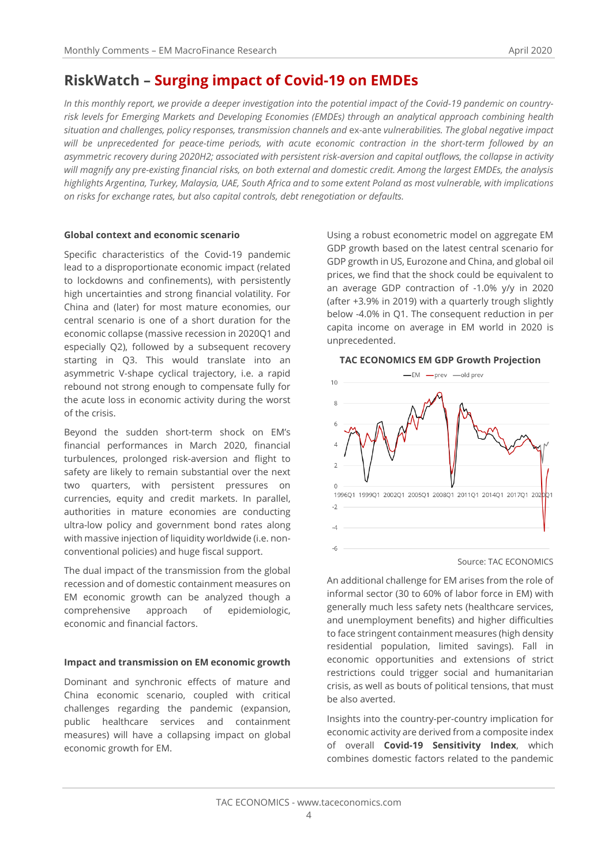## **RiskWatch – Surging impact of Covid-19 on EMDEs**

*In this monthly report, we provide a deeper investigation into the potential impact of the Covid-19 pandemic on countryrisk levels for Emerging Markets and Developing Economies (EMDEs) through an analytical approach combining health situation and challenges, policy responses, transmission channels and* ex-ante *vulnerabilities. The global negative impact will be unprecedented for peace-time periods, with acute economic contraction in the short-term followed by an asymmetric recovery during 2020H2; associated with persistent risk-aversion and capital outflows, the collapse in activity will magnify any pre-existing financial risks, on both external and domestic credit. Among the largest EMDEs, the analysis highlights Argentina, Turkey, Malaysia, UAE, South Africa and to some extent Poland as most vulnerable, with implications on risks for exchange rates, but also capital controls, debt renegotiation or defaults.*

#### **Global context and economic scenario**

Specific characteristics of the Covid-19 pandemic lead to a disproportionate economic impact (related to lockdowns and confinements), with persistently high uncertainties and strong financial volatility. For China and (later) for most mature economies, our central scenario is one of a short duration for the economic collapse (massive recession in 2020Q1 and especially Q2), followed by a subsequent recovery starting in Q3. This would translate into an asymmetric V-shape cyclical trajectory, i.e. a rapid rebound not strong enough to compensate fully for the acute loss in economic activity during the worst of the crisis.

Beyond the sudden short-term shock on EM's financial performances in March 2020, financial turbulences, prolonged risk-aversion and flight to safety are likely to remain substantial over the next two quarters, with persistent pressures on currencies, equity and credit markets. In parallel, authorities in mature economies are conducting ultra-low policy and government bond rates along with massive injection of liquidity worldwide (i.e. nonconventional policies) and huge fiscal support.

The dual impact of the transmission from the global recession and of domestic containment measures on EM economic growth can be analyzed though a comprehensive approach of epidemiologic, economic and financial factors.

#### **Impact and transmission on EM economic growth**

Dominant and synchronic effects of mature and China economic scenario, coupled with critical challenges regarding the pandemic (expansion, public healthcare services and containment measures) will have a collapsing impact on global economic growth for EM.

Using a robust econometric model on aggregate EM GDP growth based on the latest central scenario for GDP growth in US, Eurozone and China, and global oil prices, we find that the shock could be equivalent to an average GDP contraction of -1.0% y/y in 2020 (after +3.9% in 2019) with a quarterly trough slightly below -4.0% in Q1. The consequent reduction in per capita income on average in EM world in 2020 is unprecedented.

#### **TAC ECONOMICS EM GDP Growth Projection**



Source: TAC ECONOMICS

An additional challenge for EM arises from the role of informal sector (30 to 60% of labor force in EM) with generally much less safety nets (healthcare services, and unemployment benefits) and higher difficulties to face stringent containment measures (high density residential population, limited savings). Fall in economic opportunities and extensions of strict restrictions could trigger social and humanitarian crisis, as well as bouts of political tensions, that must be also averted.

Insights into the country-per-country implication for economic activity are derived from a composite index of overall **Covid-19 Sensitivity Index**, which combines domestic factors related to the pandemic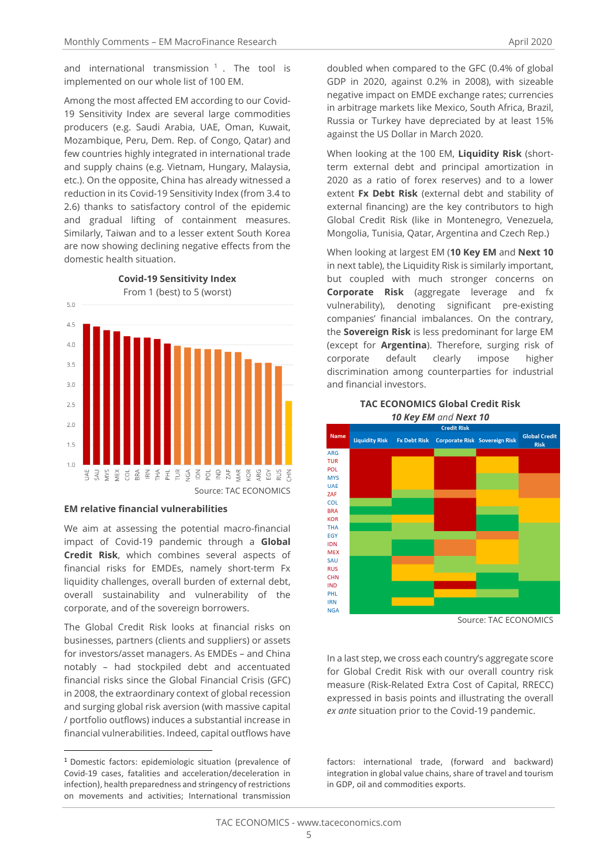and international transmission <sup>1</sup> . The tool is implemented on our whole list of 100 EM.

Among the most affected EM according to our Covid-19 Sensitivity Index are several large commodities producers (e.g. Saudi Arabia, UAE, Oman, Kuwait, Mozambique, Peru, Dem. Rep. of Congo, Qatar) and few countries highly integrated in international trade and supply chains (e.g. Vietnam, Hungary, Malaysia, etc.). On the opposite, China has already witnessed a reduction in its Covid-19 Sensitivity Index (from 3.4 to 2.6) thanks to satisfactory control of the epidemic and gradual lifting of containment measures. Similarly, Taiwan and to a lesser extent South Korea are now showing declining negative effects from the domestic health situation.

**Covid-19 Sensitivity Index**



## **EM relative financial vulnerabilities**

We aim at assessing the potential macro-financial impact of Covid-19 pandemic through a **Global Credit Risk**, which combines several aspects of financial risks for EMDEs, namely short-term Fx liquidity challenges, overall burden of external debt, overall sustainability and vulnerability of the corporate, and of the sovereign borrowers.

The Global Credit Risk looks at financial risks on businesses, partners (clients and suppliers) or assets for investors/asset managers. As EMDEs – and China notably – had stockpiled debt and accentuated financial risks since the Global Financial Crisis (GFC) in 2008, the extraordinary context of global recession and surging global risk aversion (with massive capital / portfolio outflows) induces a substantial increase in financial vulnerabilities. Indeed, capital outflows have

doubled when compared to the GFC (0.4% of global GDP in 2020, against 0.2% in 2008), with sizeable negative impact on EMDE exchange rates; currencies in arbitrage markets like Mexico, South Africa, Brazil, Russia or Turkey have depreciated by at least 15% against the US Dollar in March 2020.

When looking at the 100 EM, **Liquidity Risk** (shortterm external debt and principal amortization in 2020 as a ratio of forex reserves) and to a lower extent **Fx Debt Risk** (external debt and stability of external financing) are the key contributors to high Global Credit Risk (like in Montenegro, Venezuela, Mongolia, Tunisia, Qatar, Argentina and Czech Rep.)

When looking at largest EM (**10 Key EM** and **Next 10** in next table), the Liquidity Risk is similarly important, but coupled with much stronger concerns on **Corporate Risk** (aggregate leverage and fx vulnerability), denoting significant pre-existing companies' financial imbalances. On the contrary, the **Sovereign Risk** is less predominant for large EM (except for **Argentina**). Therefore, surging risk of corporate default clearly impose higher discrimination among counterparties for industrial and financial investors.

#### **TAC ECONOMICS Global Credit Risk** *10 Key EM and Next 10*



Source: TAC ECONOMICS

In a last step, we cross each country's aggregate score for Global Credit Risk with our overall country risk measure (Risk-Related Extra Cost of Capital, RRECC) expressed in basis points and illustrating the overall *ex ante* situation prior to the Covid-19 pandemic.

factors: international trade, (forward and backward) integration in global value chains, share of travel and tourism in GDP, oil and commodities exports.

<sup>1</sup> Domestic factors: epidemiologic situation (prevalence of Covid-19 cases, fatalities and acceleration/deceleration in infection), health preparedness and stringency of restrictions on movements and activities; International transmission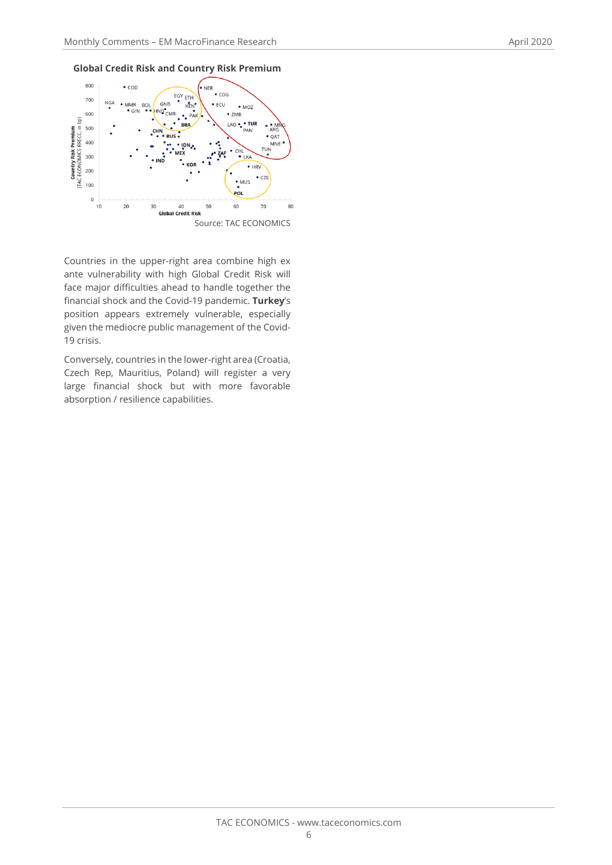



Countries in the upper-right area combine high ex ante vulnerability with high Global Credit Risk will face major difficulties ahead to handle together the financial shock and the Covid-19 pandemic. **Turkey**'s position appears extremely vulnerable, especially given the mediocre public management of the Covid-19 crisis.

Conversely, countries in the lower-right area (Croatia, Czech Rep, Mauritius, Poland) will register a very large financial shock but with more favorable absorption / resilience capabilities.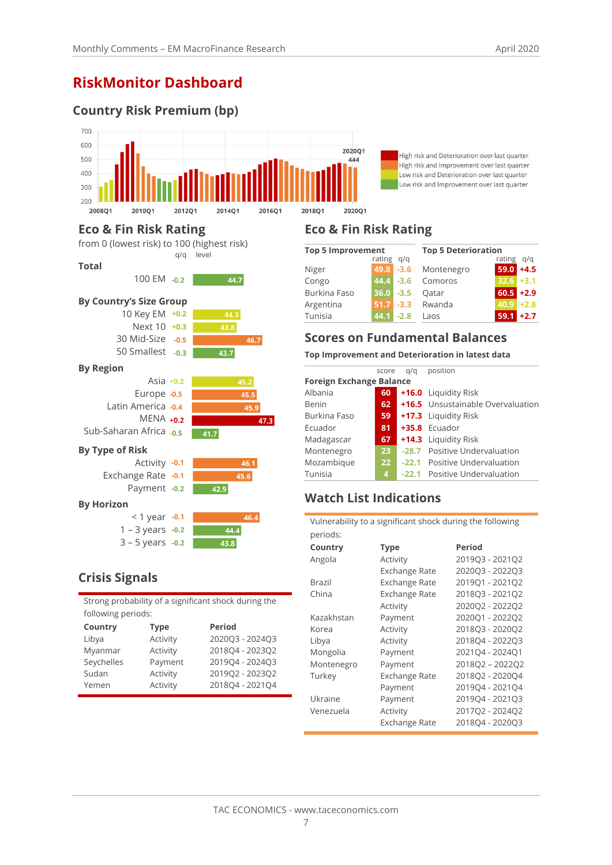## **RiskMonitor Dashboard**

## **Country Risk Premium (bp)**



High risk and Deterioration over last quarter High risk and Improvement over last quarter Low risk and Deterioration over last quarter Low risk and Improvement over last quarter

## **Eco & Fin Risk Rating**



## **Crisis Signals**

| Strong probability of a significant shock during the |  |
|------------------------------------------------------|--|
| following periods:                                   |  |

| Country    | <b>Type</b> | <b>Period</b>   |
|------------|-------------|-----------------|
| Libya      | Activity    | 2020Q3 - 2024Q3 |
| Myanmar    | Activity    | 201804 - 202302 |
| Seychelles | Payment     | 2019Q4 - 2024Q3 |
| Sudan      | Activity    | 2019Q2 - 2023Q2 |
| Yemen      | Activity    | 201804 - 202104 |
|            |             |                 |

## **Eco & Fin Risk Rating**

| <b>Top 5 Improvement</b> |               | <b>Top 5 Deterioration</b> |                      |               |              |
|--------------------------|---------------|----------------------------|----------------------|---------------|--------------|
|                          | rating<br>q/q |                            |                      | rating<br>q/q |              |
| Niger                    |               |                            | 49.8 -3.6 Montenegro | 59.0          | $+4.5$       |
| Congo                    | $44.4 - 3.6$  |                            | Comoros              | $32.6$ +3.1   |              |
| Burkina Faso             | $36.0 - 3.5$  |                            | Oatar                |               | $60.5 + 2.9$ |
| Argentina                | 51.7          | $-3.3$                     | Rwanda               | 40.9          | $+2.8$       |
| Tunisia                  | 44.1          | $-2.8$                     | Laos                 | 59.1          | $+2.7$       |

## **Scores on Fundamental Balances**

#### **Top Improvement and Deterioration in latest data**

|                                 | score           | g/g | position                          |  |  |
|---------------------------------|-----------------|-----|-----------------------------------|--|--|
| <b>Foreign Exchange Balance</b> |                 |     |                                   |  |  |
| Albania                         | 60              |     | +16.0 Liquidity Risk              |  |  |
| Benin                           | 62              |     | +16.5 Unsustainable Overvaluation |  |  |
| Burkina Faso                    | 59              |     | +17.3 Liquidity Risk              |  |  |
| Ecuador                         | 81              |     | $+35.8$ Ecuador                   |  |  |
| Madagascar                      | 67              |     | +14.3 Liquidity Risk              |  |  |
| Montenegro                      | 23 <sub>2</sub> |     | -28.7 Positive Undervaluation     |  |  |
| Mozambique                      | 22 <sub>2</sub> |     | -22.1 Positive Undervaluation     |  |  |
| Tunisia                         | 4               |     | -22.1 Positive Undervaluation     |  |  |

## **Watch List Indications**

Vulnerability to a significant shock during the following periods:

| Country    | Type          | Period          |
|------------|---------------|-----------------|
| Angola     | Activity      | 201903 - 202102 |
|            | Exchange Rate | 202003 - 202203 |
| Brazil     | Exchange Rate | 201901 - 202102 |
| China      | Exchange Rate | 2018Q3 - 2021Q2 |
|            | Activity      | 2020Q2 - 2022Q2 |
| Kazakhstan | Payment       | 202001 - 202202 |
| Korea      | Activity      | 201803 - 202002 |
| Libya      | Activity      | 201804 - 202203 |
| Mongolia   | Payment       | 202104 - 202401 |
| Montenegro | Payment       | 201802 - 202202 |
| Turkey     | Exchange Rate | 2018Q2 - 2020Q4 |
|            | Payment       | 201904 - 202104 |
| Ukraine    | Payment       | 201904 - 202103 |
| Venezuela  | Activity      | 201702 - 202402 |
|            | Exchange Rate | 201804 - 202003 |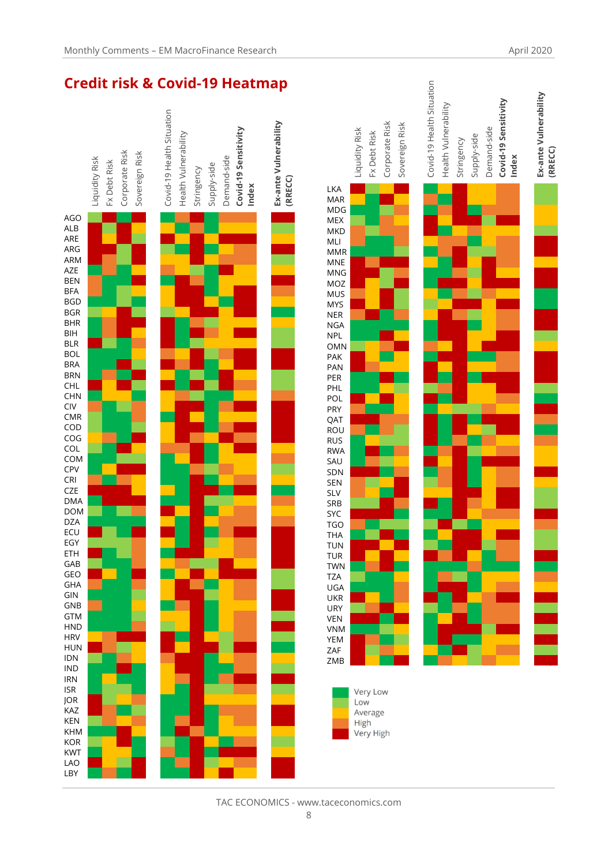

high

h

hig

hig e

 $\overline{a}$ h  $\overline{a}$  $\overline{a}$ 

hig

low

 $\overline{a}$  $\overline{a}$  $\overline{a}$ rag  $\overline{a}$ 

h

ge

h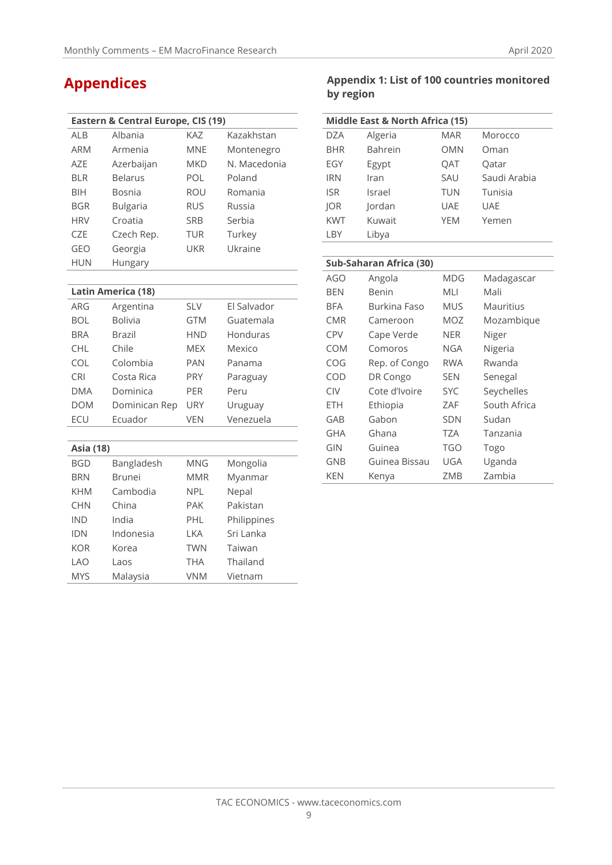|            | Eastern & Central Europe, CIS (19) |            |              |  |  |
|------------|------------------------------------|------------|--------------|--|--|
| AI B       | Albania                            | KA7        | Kazakhstan   |  |  |
| <b>ARM</b> | Armenia                            | MNF        | Montenegro   |  |  |
| A7F        | Azerbaijan                         | <b>MKD</b> | N. Macedonia |  |  |
| <b>BIR</b> | <b>Belarus</b>                     | POL        | Poland       |  |  |
| <b>BIH</b> | Bosnia                             | <b>ROU</b> | Romania      |  |  |
| <b>BGR</b> | Bulgaria                           | <b>RUS</b> | Russia       |  |  |
| <b>HRV</b> | Croatia                            | <b>SRB</b> | Serbia       |  |  |
| C7F        | Czech Rep.                         | <b>TUR</b> | Turkey       |  |  |
| GEO        | Georgia                            | UKR        | Ukraine      |  |  |
| <b>HUN</b> | Hungary                            |            |              |  |  |

## **Latin America (18)**

| ARG        | Argentina      | <b>SLV</b> | El Salvador |
|------------|----------------|------------|-------------|
| BOL        | <b>Bolivia</b> | <b>GTM</b> | Guatemala   |
| <b>BRA</b> | Brazil         | <b>HND</b> | Honduras    |
| <b>CHL</b> | Chile          | <b>MEX</b> | Mexico      |
| <b>COL</b> | Colombia       | <b>PAN</b> | Panama      |
| <b>CRI</b> | Costa Rica     | <b>PRY</b> | Paraguay    |
| <b>DMA</b> | Dominica       | <b>PER</b> | Peru        |
| <b>DOM</b> | Dominican Rep  | <b>URY</b> | Uruguay     |
| FCU        | Ecuador        | VFN        | Venezuela   |

| <b>Asia (18)</b> |               |            |             |  |
|------------------|---------------|------------|-------------|--|
| <b>BGD</b>       | Bangladesh    | MNG        | Mongolia    |  |
| <b>BRN</b>       | <b>Brunei</b> | <b>MMR</b> | Myanmar     |  |
| <b>KHM</b>       | Cambodia      | NPI.       | Nepal       |  |
| <b>CHN</b>       | China         | <b>PAK</b> | Pakistan    |  |
| <b>IND</b>       | India         | PHI        | Philippines |  |
| <b>IDN</b>       | Indonesia     | I KA       | Sri Lanka   |  |
| KOR              | Korea         | <b>TWN</b> | Taiwan      |  |
| I AO             | Laos          | <b>THA</b> | Thailand    |  |
| <b>MYS</b>       | Malaysia      | <b>VNM</b> | Vietnam     |  |
|                  |               |            |             |  |

## **Appendices Appendix 1: List of 100 countries monitored by region**

| Middle East & North Africa (15) |         |            |              |  |
|---------------------------------|---------|------------|--------------|--|
| <b>DZA</b>                      | Algeria | <b>MAR</b> | Morocco      |  |
| <b>BHR</b>                      | Bahrein | OMN        | Oman         |  |
| EGY                             | Egypt   | OAT        | Qatar        |  |
| <b>IRN</b>                      | Iran    | SAU        | Saudi Arabia |  |
| <b>ISR</b>                      | Israel  | <b>TUN</b> | Tunisia      |  |
| JOR                             | Jordan  | <b>UAE</b> | <b>UAE</b>   |  |
| <b>KWT</b>                      | Kuwait  | <b>YEM</b> | Yemen        |  |
| LBY                             | Libya   |            |              |  |

#### **Sub-Saharan Africa (30)**

| AGO        | Angola        | MDG        | Madagascar   |
|------------|---------------|------------|--------------|
| <b>BEN</b> | Benin         | MLI        | Mali         |
| BFA        | Burkina Faso  | <b>MUS</b> | Mauritius    |
| <b>CMR</b> | Cameroon      | MOZ        | Mozambique   |
| <b>CPV</b> | Cape Verde    | <b>NER</b> | Niger        |
| COM        | Comoros       | <b>NGA</b> | Nigeria      |
| COG        | Rep. of Congo | <b>RWA</b> | Rwanda       |
| COD        | DR Congo      | <b>SEN</b> | Senegal      |
| <b>CIV</b> | Cote d'Ivoire | <b>SYC</b> | Seychelles   |
| <b>ETH</b> | Ethiopia      | ZAF        | South Africa |
| GAB        | Gabon         | <b>SDN</b> | Sudan        |
| <b>GHA</b> | Ghana         | <b>TZA</b> | Tanzania     |
| GIN        | Guinea        | TGO        | Togo         |
| <b>GNB</b> | Guinea Bissau | UGA        | Uganda       |
| <b>KEN</b> | Kenya         | ZMB        | Zambia       |

#### TAC ECONOMICS - www.taceconomics.com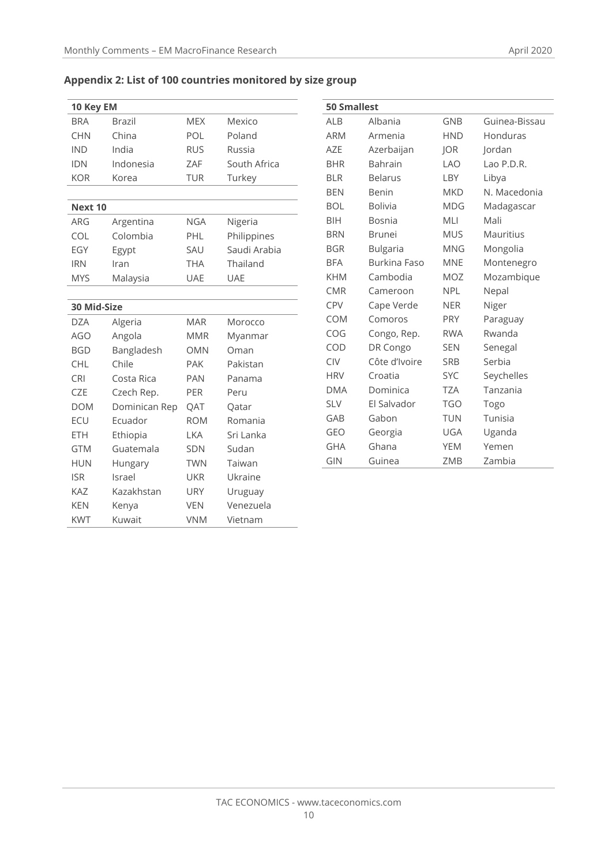| Appendix 2: List of 100 countries monitored by size group |  |  |  |  |
|-----------------------------------------------------------|--|--|--|--|
|-----------------------------------------------------------|--|--|--|--|

| 10 Key EM   |               |            |              |  |  |
|-------------|---------------|------------|--------------|--|--|
| <b>BRA</b>  | <b>Brazil</b> | <b>MEX</b> | Mexico       |  |  |
| <b>CHN</b>  | China         | POL        | Poland       |  |  |
| <b>IND</b>  | India         | <b>RUS</b> | Russia       |  |  |
| <b>IDN</b>  | Indonesia     | ZAF        | South Africa |  |  |
| <b>KOR</b>  | Korea         | <b>TUR</b> | Turkey       |  |  |
|             |               |            |              |  |  |
| Next 10     |               |            |              |  |  |
| ARG         | Argentina     | <b>NGA</b> | Nigeria      |  |  |
| COL         | Colombia      | PHL        | Philippines  |  |  |
| EGY         | Egypt         | SAU        | Saudi Arabia |  |  |
| <b>IRN</b>  | Iran          | <b>THA</b> | Thailand     |  |  |
| <b>MYS</b>  | Malaysia      | <b>UAE</b> | <b>UAE</b>   |  |  |
|             |               |            |              |  |  |
| 30 Mid-Size |               |            |              |  |  |
| <b>DZA</b>  | Algeria       | <b>MAR</b> | Morocco      |  |  |
| <b>AGO</b>  | Angola        | <b>MMR</b> | Myanmar      |  |  |
| <b>BGD</b>  | Bangladesh    | <b>OMN</b> | Oman         |  |  |
| <b>CHL</b>  | Chile         | <b>PAK</b> | Pakistan     |  |  |
| <b>CRI</b>  | Costa Rica    | <b>PAN</b> | Panama       |  |  |
| <b>CZE</b>  | Czech Rep.    | <b>PER</b> | Peru         |  |  |
| <b>DOM</b>  | Dominican Rep | QAT        | Qatar        |  |  |
| ECU         | Ecuador       | <b>ROM</b> | Romania      |  |  |
| <b>ETH</b>  | Ethiopia      | LKA        | Sri Lanka    |  |  |
| <b>GTM</b>  | Guatemala     | <b>SDN</b> | Sudan        |  |  |
| <b>HUN</b>  | Hungary       | <b>TWN</b> | Taiwan       |  |  |
| <b>ISR</b>  | Israel        | <b>UKR</b> | Ukraine      |  |  |
| <b>KAZ</b>  | Kazakhstan    | <b>URY</b> | Uruguay      |  |  |
| <b>KEN</b>  | Kenya         | <b>VEN</b> | Venezuela    |  |  |
| <b>KWT</b>  | Kuwait        | <b>VNM</b> | Vietnam      |  |  |

| <b>50 Smallest</b> |                 |            |               |  |
|--------------------|-----------------|------------|---------------|--|
| <b>ALB</b>         | Albania         | <b>GNB</b> | Guinea-Bissau |  |
| <b>ARM</b>         | Armenia         | <b>HND</b> | Honduras      |  |
| <b>AZE</b>         | Azerbaijan      | JOR        | Jordan        |  |
| <b>BHR</b>         | <b>Bahrain</b>  | <b>LAO</b> | Lao P.D.R.    |  |
| <b>BLR</b>         | <b>Belarus</b>  | LBY        | Libya         |  |
| <b>BEN</b>         | Benin           | <b>MKD</b> | N. Macedonia  |  |
| <b>BOL</b>         | <b>Bolivia</b>  | <b>MDG</b> | Madagascar    |  |
| <b>BIH</b>         | Bosnia          | MLI        | Mali          |  |
| <b>BRN</b>         | <b>Brunei</b>   | <b>MUS</b> | Mauritius     |  |
| <b>BGR</b>         | <b>Bulgaria</b> | <b>MNG</b> | Mongolia      |  |
| <b>BFA</b>         | Burkina Faso    | <b>MNE</b> | Montenegro    |  |
| <b>KHM</b>         | Cambodia        | MOZ        | Mozambique    |  |
| <b>CMR</b>         | Cameroon        | <b>NPL</b> | Nepal         |  |
| <b>CPV</b>         | Cape Verde      | <b>NER</b> | Niger         |  |
| COM                | Comoros         | <b>PRY</b> | Paraguay      |  |
| COG                | Congo, Rep.     | <b>RWA</b> | Rwanda        |  |
| COD                | DR Congo        | <b>SEN</b> | Senegal       |  |
| <b>CIV</b>         | Côte d'Ivoire   | <b>SRB</b> | Serbia        |  |
| <b>HRV</b>         | Croatia         | <b>SYC</b> | Seychelles    |  |
| <b>DMA</b>         | Dominica        | <b>TZA</b> | Tanzania      |  |
| <b>SLV</b>         | El Salvador     | <b>TGO</b> | Togo          |  |
| GAB                | Gabon           | TUN        | Tunisia       |  |
| <b>GEO</b>         | Georgia         | UGA        | Uganda        |  |
| <b>GHA</b>         | Ghana           | <b>YEM</b> | Yemen         |  |
| GIN                | Guinea          | ZMB        | Zambia        |  |